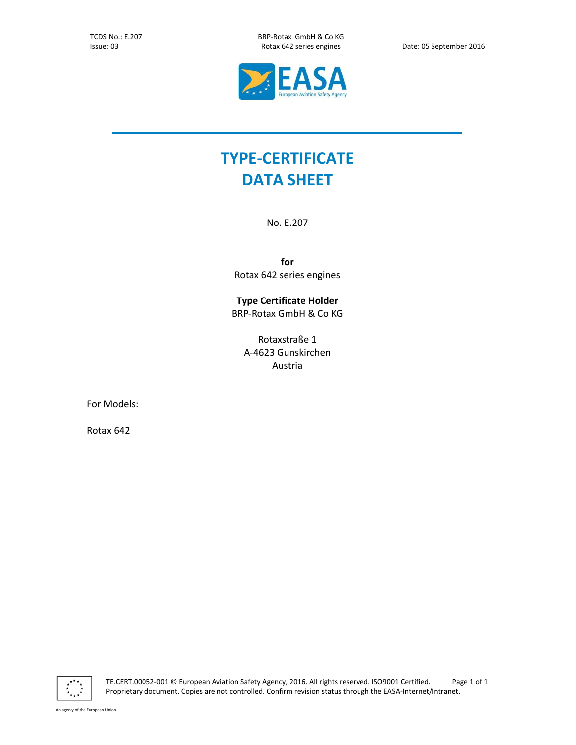TCDS No.: E.207 BRP-Rotax GmbH & Co KG



# **TYPE-CERTIFICATE DATA SHEET**

No. E.207

**for**  Rotax 642 series engines

# **Type Certificate Holder**  BRP-Rotax GmbH & Co KG

Rotaxstraße 1 A-4623 Gunskirchen Austria

For Models:

Rotax 642



TE.CERT.00052-001 © European Aviation Safety Agency, 2016. All rights reserved. ISO9001 Certified. Page 1 of 1 Proprietary document. Copies are not controlled. Confirm revision status through the EASA-Internet/Intranet.

An agency of the European Union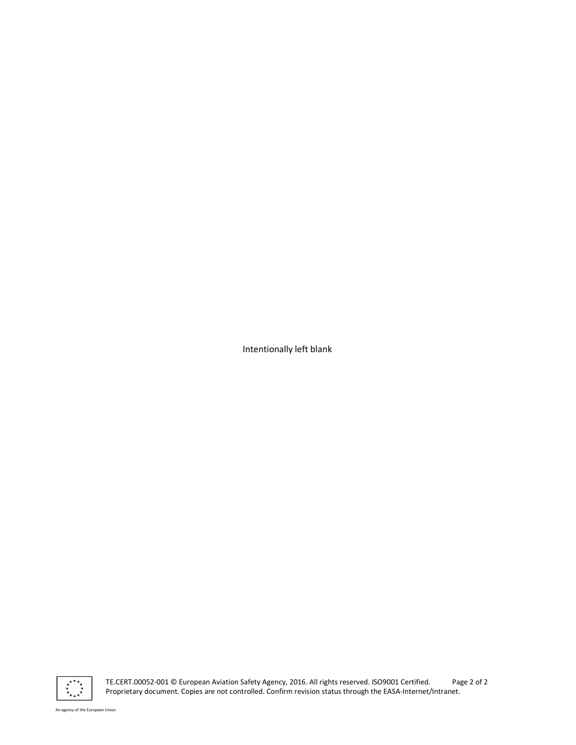Intentionally left blank



TE.CERT.00052-001 © European Aviation Safety Agency, 2016. All rights reserved. ISO9001 Certified. Page 2 of 2 Proprietary document. Copies are not controlled. Confirm revision status through the EASA-Internet/Intranet.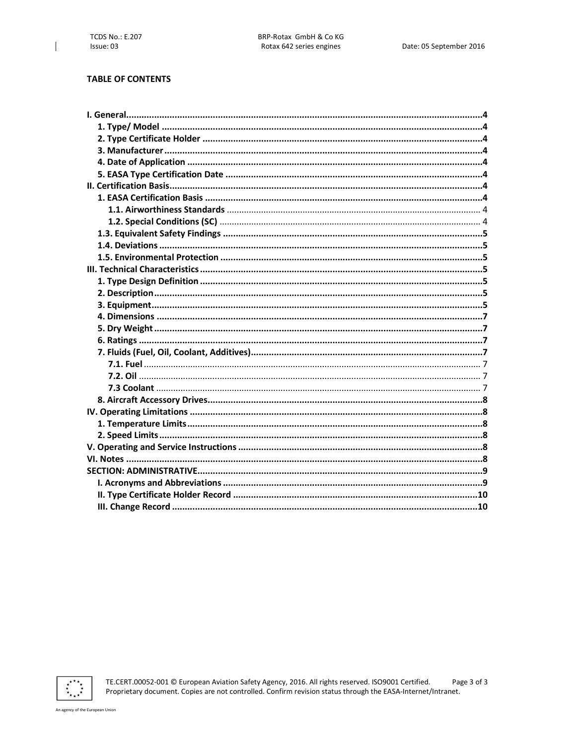$\mathbf{I}$ 

# **TABLE OF CONTENTS**

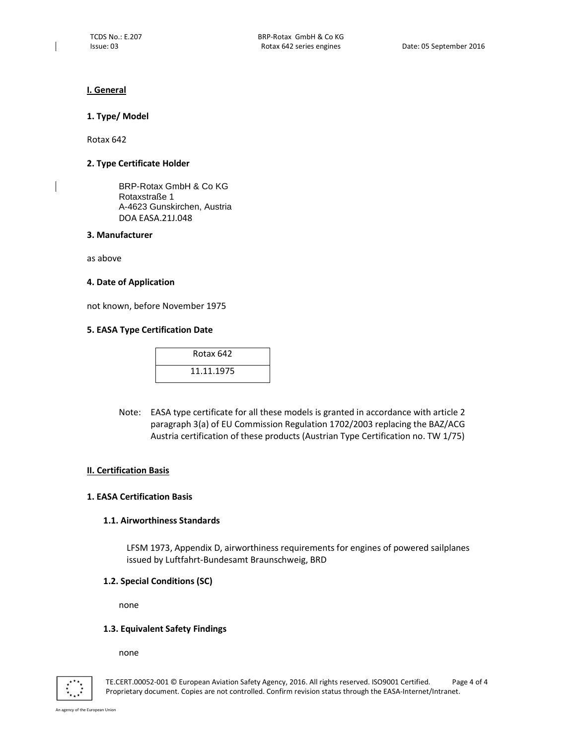#### **I. General**

#### **1. Type/ Model**

Rotax 642

 $\overline{\phantom{a}}$ 

# **2. Type Certificate Holder**

BRP-Rotax GmbH & Co KG Rotaxstraße 1 A-4623 Gunskirchen, Austria DOA EASA.21J.048

## **3. Manufacturer**

as above

#### **4. Date of Application**

not known, before November 1975

#### **5. EASA Type Certification Date**

| Rotax 642  |  |
|------------|--|
| 11.11.1975 |  |

Note: EASA type certificate for all these models is granted in accordance with article 2 paragraph 3(a) of EU Commission Regulation 1702/2003 replacing the BAZ/ACG Austria certification of these products (Austrian Type Certification no. TW 1/75)

# **II. Certification Basis**

# **1. EASA Certification Basis**

# **1.1. Airworthiness Standards**

LFSM 1973, Appendix D, airworthiness requirements for engines of powered sailplanes issued by Luftfahrt-Bundesamt Braunschweig, BRD

# **1.2. Special Conditions (SC)**

none

# **1.3. Equivalent Safety Findings**

none



TE.CERT.00052-001 © European Aviation Safety Agency, 2016. All rights reserved. ISO9001 Certified. Page 4 of 4 Proprietary document. Copies are not controlled. Confirm revision status through the EASA-Internet/Intranet.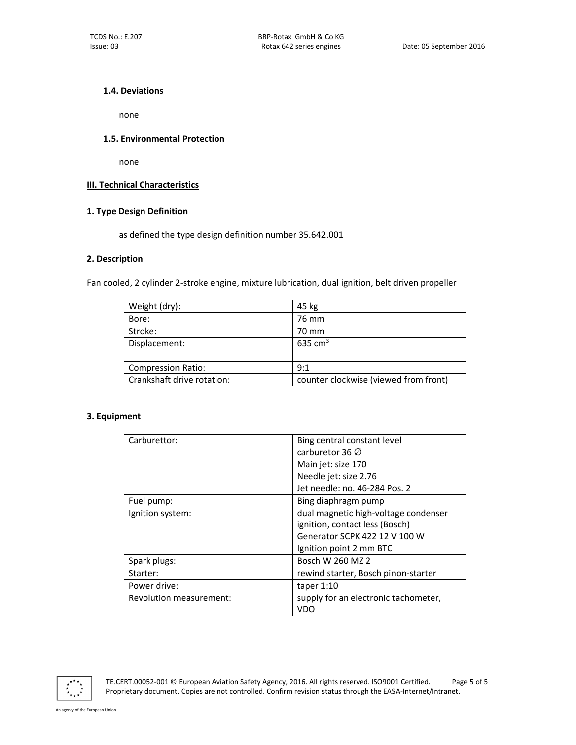#### **1.4. Deviations**

none

# **1.5. Environmental Protection**

none

# **III. Technical Characteristics**

# **1. Type Design Definition**

as defined the type design definition number 35.642.001

# **2. Description**

Fan cooled, 2 cylinder 2-stroke engine, mixture lubrication, dual ignition, belt driven propeller

| Weight (dry):              | 45 kg                                 |
|----------------------------|---------------------------------------|
| Bore:                      | 76 mm                                 |
| Stroke:                    | 70 mm                                 |
| Displacement:              | 635 $cm3$                             |
|                            |                                       |
| <b>Compression Ratio:</b>  | 9:1                                   |
| Crankshaft drive rotation: | counter clockwise (viewed from front) |

# **3. Equipment**

| Bing central constant level          |
|--------------------------------------|
| carburetor 36 $\varnothing$          |
| Main jet: size 170                   |
| Needle jet: size 2.76                |
| Jet needle: no. 46-284 Pos. 2        |
| Bing diaphragm pump                  |
| dual magnetic high-voltage condenser |
| ignition, contact less (Bosch)       |
| Generator SCPK 422 12 V 100 W        |
| Ignition point 2 mm BTC              |
| Bosch W 260 MZ 2                     |
| rewind starter, Bosch pinon-starter  |
| taper $1:10$                         |
| supply for an electronic tachometer, |
| VDO                                  |
|                                      |

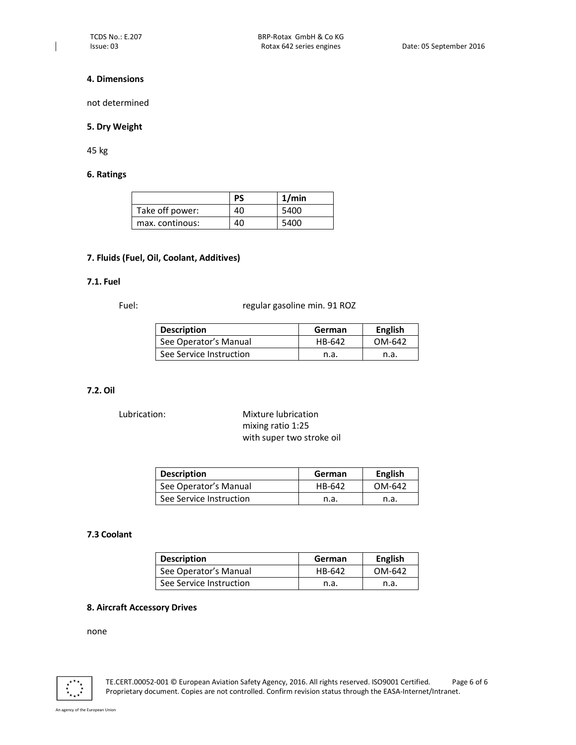#### **4. Dimensions**

not determined

# **5. Dry Weight**

45 kg

# **6. Ratings**

|                 | <b>PS</b> | 1/min |
|-----------------|-----------|-------|
| Take off power: | 40        | 5400  |
| max. continous: | 40        | 5400  |

#### **7. Fluids (Fuel, Oil, Coolant, Additives)**

# **7.1. Fuel**

Fuel: Fuel: regular gasoline min. 91 ROZ

| <b>Description</b>      | German | <b>English</b> |
|-------------------------|--------|----------------|
| See Operator's Manual   | HB-642 | OM-642         |
| See Service Instruction | n.a.   | n.a.           |

# **7.2. Oil**

Lubrication: Mixture lubrication mixing ratio 1:25 with super two stroke oil

| <b>Description</b>      | German | <b>English</b> |
|-------------------------|--------|----------------|
| See Operator's Manual   | HB-642 | OM-642         |
| See Service Instruction | n.a.   | n.a.           |

#### **7.3 Coolant**

| <b>Description</b>      | German | <b>English</b> |
|-------------------------|--------|----------------|
| See Operator's Manual   | HB-642 | OM-642         |
| See Service Instruction | n.a.   | n.a.           |

#### **8. Aircraft Accessory Drives**

none

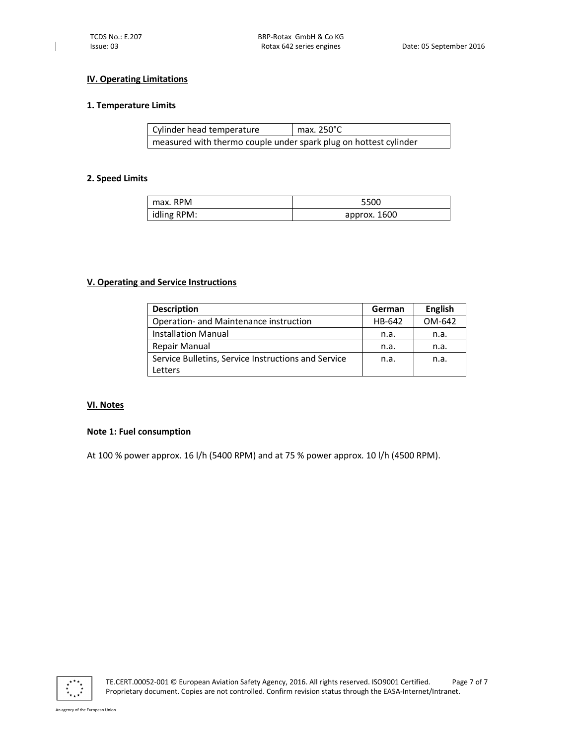#### **IV. Operating Limitations**

#### **1. Temperature Limits**

| Cylinder head temperature                                        | max. 250°C |
|------------------------------------------------------------------|------------|
| measured with thermo couple under spark plug on hottest cylinder |            |

#### **2. Speed Limits**

| max. RPM    | 5500         |
|-------------|--------------|
| idling RPM: | approx. 1600 |

#### **V. Operating and Service Instructions**

| <b>Description</b>                                  | German | <b>English</b> |
|-----------------------------------------------------|--------|----------------|
| Operation- and Maintenance instruction              | HB-642 | OM-642         |
| <b>Installation Manual</b>                          | n.a.   | n.a.           |
| Repair Manual                                       | n.a.   | n.a.           |
| Service Bulletins, Service Instructions and Service | n.a.   | n.a.           |
| Letters                                             |        |                |

#### **VI. Notes**

#### **Note 1: Fuel consumption**

At 100 % power approx. 16 l/h (5400 RPM) and at 75 % power approx. 10 l/h (4500 RPM).

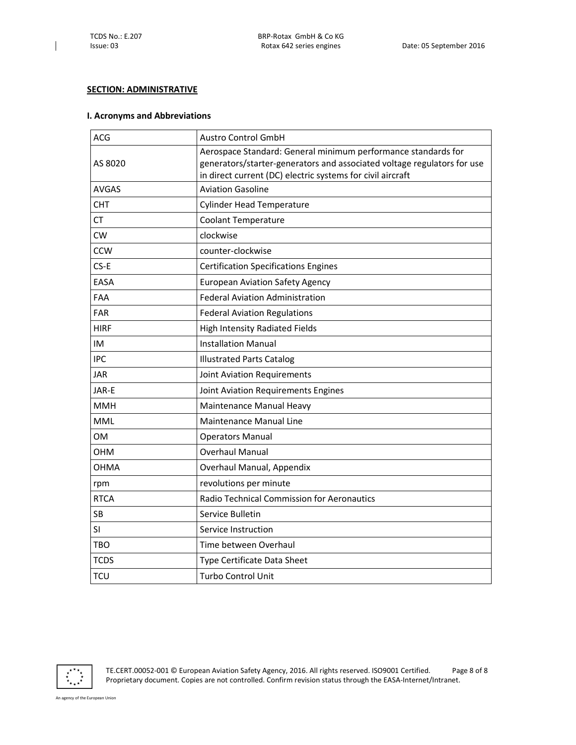#### **SECTION: ADMINISTRATIVE**

#### **I. Acronyms and Abbreviations**

| <b>ACG</b>   | <b>Austro Control GmbH</b>                                                                                                                                                                             |
|--------------|--------------------------------------------------------------------------------------------------------------------------------------------------------------------------------------------------------|
| AS 8020      | Aerospace Standard: General minimum performance standards for<br>generators/starter-generators and associated voltage regulators for use<br>in direct current (DC) electric systems for civil aircraft |
| <b>AVGAS</b> | <b>Aviation Gasoline</b>                                                                                                                                                                               |
| <b>CHT</b>   | <b>Cylinder Head Temperature</b>                                                                                                                                                                       |
| CТ           | <b>Coolant Temperature</b>                                                                                                                                                                             |
| <b>CW</b>    | clockwise                                                                                                                                                                                              |
| <b>CCW</b>   | counter-clockwise                                                                                                                                                                                      |
| CS-E         | <b>Certification Specifications Engines</b>                                                                                                                                                            |
| EASA         | <b>European Aviation Safety Agency</b>                                                                                                                                                                 |
| FAA          | <b>Federal Aviation Administration</b>                                                                                                                                                                 |
| <b>FAR</b>   | <b>Federal Aviation Regulations</b>                                                                                                                                                                    |
| <b>HIRF</b>  | High Intensity Radiated Fields                                                                                                                                                                         |
| IM           | <b>Installation Manual</b>                                                                                                                                                                             |
| <b>IPC</b>   | <b>Illustrated Parts Catalog</b>                                                                                                                                                                       |
| JAR          | <b>Joint Aviation Requirements</b>                                                                                                                                                                     |
| JAR-E        | Joint Aviation Requirements Engines                                                                                                                                                                    |
| <b>MMH</b>   | Maintenance Manual Heavy                                                                                                                                                                               |
| MML          | <b>Maintenance Manual Line</b>                                                                                                                                                                         |
| ом           | <b>Operators Manual</b>                                                                                                                                                                                |
| OHM          | <b>Overhaul Manual</b>                                                                                                                                                                                 |
| <b>OHMA</b>  | Overhaul Manual, Appendix                                                                                                                                                                              |
| rpm          | revolutions per minute                                                                                                                                                                                 |
| <b>RTCA</b>  | Radio Technical Commission for Aeronautics                                                                                                                                                             |
| SB           | Service Bulletin                                                                                                                                                                                       |
| SI           | Service Instruction                                                                                                                                                                                    |
| <b>TBO</b>   | Time between Overhaul                                                                                                                                                                                  |
| TCDS         | Type Certificate Data Sheet                                                                                                                                                                            |
| <b>TCU</b>   | <b>Turbo Control Unit</b>                                                                                                                                                                              |



TE.CERT.00052-001 © European Aviation Safety Agency, 2016. All rights reserved. ISO9001 Certified. Page 8 of 8 Proprietary document. Copies are not controlled. Confirm revision status through the EASA-Internet/Intranet.